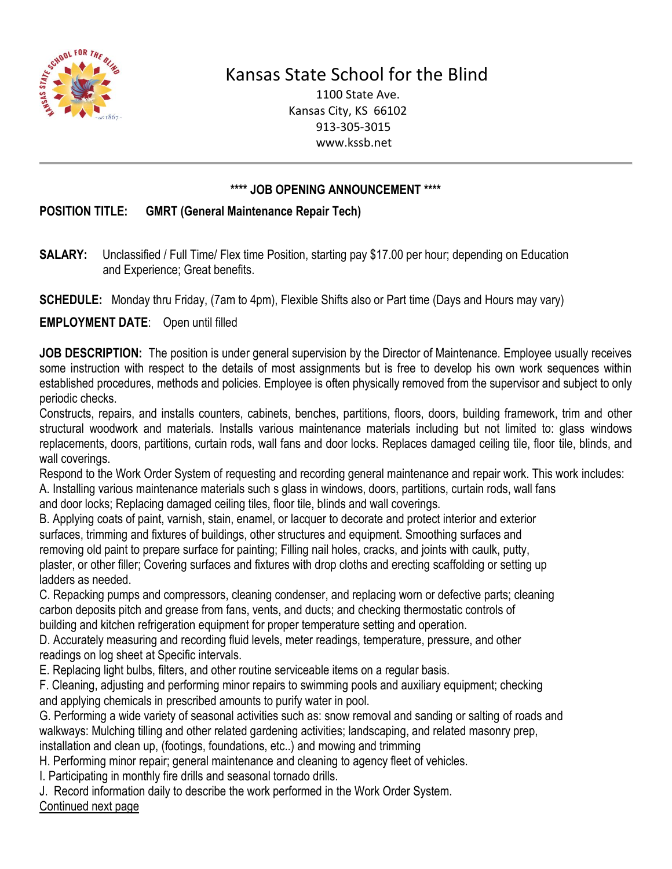

## Kansas State School for the Blind

1100 State Ave. Kansas City, KS 66102 913-305-3015 www.kssb.net

## **\*\*\*\* JOB OPENING ANNOUNCEMENT \*\*\*\***

## **POSITION TITLE: GMRT (General Maintenance Repair Tech)**

**SALARY:** Unclassified / Full Time/ Flex time Position, starting pay \$17.00 per hour; depending on Education and Experience; Great benefits.

**SCHEDULE:** Monday thru Friday, (7am to 4pm), Flexible Shifts also or Part time (Days and Hours may vary)

**EMPLOYMENT DATE**: Open until filled

**JOB DESCRIPTION:** The position is under general supervision by the Director of Maintenance. Employee usually receives some instruction with respect to the details of most assignments but is free to develop his own work sequences within established procedures, methods and policies. Employee is often physically removed from the supervisor and subject to only periodic checks.

Constructs, repairs, and installs counters, cabinets, benches, partitions, floors, doors, building framework, trim and other structural woodwork and materials. Installs various maintenance materials including but not limited to: glass windows replacements, doors, partitions, curtain rods, wall fans and door locks. Replaces damaged ceiling tile, floor tile, blinds, and wall coverings.

Respond to the Work Order System of requesting and recording general maintenance and repair work. This work includes:

A. Installing various maintenance materials such s glass in windows, doors, partitions, curtain rods, wall fans and door locks; Replacing damaged ceiling tiles, floor tile, blinds and wall coverings.

B. Applying coats of paint, varnish, stain, enamel, or lacquer to decorate and protect interior and exterior surfaces, trimming and fixtures of buildings, other structures and equipment. Smoothing surfaces and removing old paint to prepare surface for painting; Filling nail holes, cracks, and joints with caulk, putty, plaster, or other filler; Covering surfaces and fixtures with drop cloths and erecting scaffolding or setting up ladders as needed.

C. Repacking pumps and compressors, cleaning condenser, and replacing worn or defective parts; cleaning carbon deposits pitch and grease from fans, vents, and ducts; and checking thermostatic controls of building and kitchen refrigeration equipment for proper temperature setting and operation.

D. Accurately measuring and recording fluid levels, meter readings, temperature, pressure, and other readings on log sheet at Specific intervals.

E. Replacing light bulbs, filters, and other routine serviceable items on a regular basis.

F. Cleaning, adjusting and performing minor repairs to swimming pools and auxiliary equipment; checking and applying chemicals in prescribed amounts to purify water in pool.

G. Performing a wide variety of seasonal activities such as: snow removal and sanding or salting of roads and walkways: Mulching tilling and other related gardening activities; landscaping, and related masonry prep, installation and clean up, (footings, foundations, etc..) and mowing and trimming

H. Performing minor repair; general maintenance and cleaning to agency fleet of vehicles.

I. Participating in monthly fire drills and seasonal tornado drills.

J. Record information daily to describe the work performed in the Work Order System. Continued next page